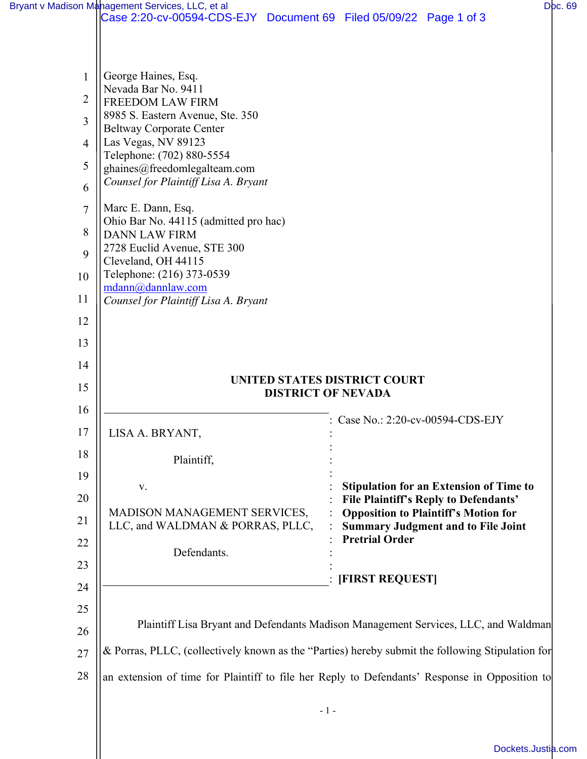|    | Bryant v Madison Management Services, LLC, et al                                                 |       |                                 |                                                                                         | Doc. 69 |
|----|--------------------------------------------------------------------------------------------------|-------|---------------------------------|-----------------------------------------------------------------------------------------|---------|
|    | Case 2:20-cv-00594-CDS-EJY Document 69 Filed 05/09/22 Page 1 of 3                                |       |                                 |                                                                                         |         |
|    |                                                                                                  |       |                                 |                                                                                         |         |
|    |                                                                                                  |       |                                 |                                                                                         |         |
| 1  | George Haines, Esq.<br>Nevada Bar No. 9411                                                       |       |                                 |                                                                                         |         |
| 2  | <b>FREEDOM LAW FIRM</b>                                                                          |       |                                 |                                                                                         |         |
| 3  | 8985 S. Eastern Avenue, Ste. 350<br><b>Beltway Corporate Center</b>                              |       |                                 |                                                                                         |         |
| 4  | Las Vegas, NV 89123                                                                              |       |                                 |                                                                                         |         |
| 5  | Telephone: (702) 880-5554<br>ghaines@freedomlegalteam.com                                        |       |                                 |                                                                                         |         |
| 6  | Counsel for Plaintiff Lisa A. Bryant                                                             |       |                                 |                                                                                         |         |
| 7  | Marc E. Dann, Esq.                                                                               |       |                                 |                                                                                         |         |
| 8  | Ohio Bar No. 44115 (admitted pro hac)                                                            |       |                                 |                                                                                         |         |
| 9  | <b>DANN LAW FIRM</b><br>2728 Euclid Avenue, STE 300                                              |       |                                 |                                                                                         |         |
|    | Cleveland, OH 44115                                                                              |       |                                 |                                                                                         |         |
| 10 | Telephone: (216) 373-0539<br>mdann@dannlaw.com                                                   |       |                                 |                                                                                         |         |
| 11 | Counsel for Plaintiff Lisa A. Bryant                                                             |       |                                 |                                                                                         |         |
| 12 |                                                                                                  |       |                                 |                                                                                         |         |
| 13 |                                                                                                  |       |                                 |                                                                                         |         |
| 14 |                                                                                                  |       |                                 |                                                                                         |         |
| 15 | UNITED STATES DISTRICT COURT<br><b>DISTRICT OF NEVADA</b>                                        |       |                                 |                                                                                         |         |
| 16 |                                                                                                  |       |                                 |                                                                                         |         |
| 17 | LISA A. BRYANT,                                                                                  |       | Case No.: 2:20-cv-00594-CDS-EJY |                                                                                         |         |
| 18 | Plaintiff,                                                                                       |       |                                 |                                                                                         |         |
| 19 |                                                                                                  |       |                                 |                                                                                         |         |
| 20 | V.                                                                                               |       |                                 | <b>Stipulation for an Extension of Time to</b><br>File Plaintiff's Reply to Defendants' |         |
| 21 | MADISON MANAGEMENT SERVICES,                                                                     |       |                                 | <b>Opposition to Plaintiff's Motion for</b>                                             |         |
| 22 | LLC, and WALDMAN & PORRAS, PLLC,                                                                 |       | <b>Pretrial Order</b>           | <b>Summary Judgment and to File Joint</b>                                               |         |
|    | Defendants.                                                                                      |       |                                 |                                                                                         |         |
| 23 |                                                                                                  |       | [FIRST REQUEST]                 |                                                                                         |         |
| 24 |                                                                                                  |       |                                 |                                                                                         |         |
| 25 |                                                                                                  |       |                                 |                                                                                         |         |
| 26 | Plaintiff Lisa Bryant and Defendants Madison Management Services, LLC, and Waldman               |       |                                 |                                                                                         |         |
| 27 | & Porras, PLLC, (collectively known as the "Parties) hereby submit the following Stipulation for |       |                                 |                                                                                         |         |
| 28 | an extension of time for Plaintiff to file her Reply to Defendants' Response in Opposition to    |       |                                 |                                                                                         |         |
|    |                                                                                                  |       |                                 |                                                                                         |         |
|    |                                                                                                  | $-1-$ |                                 |                                                                                         |         |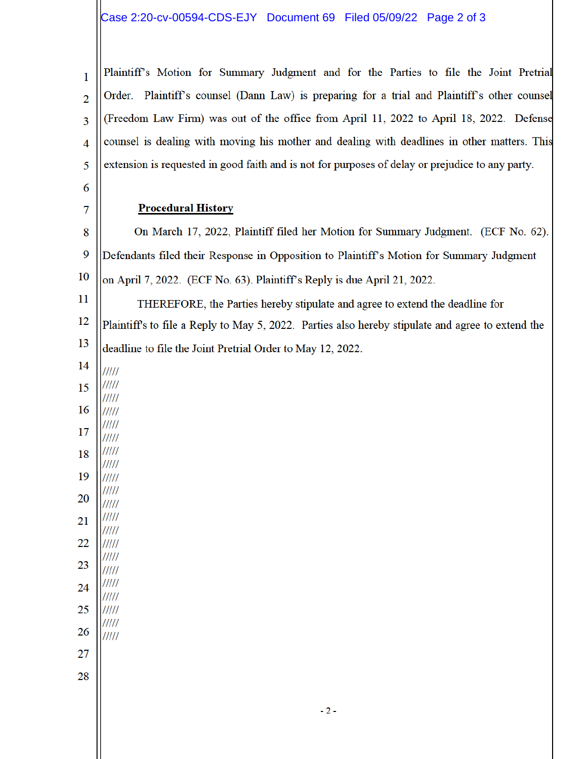## Case 2:20-cv-00594-CDS-EJY Document 69 Filed 05/09/22 Page 2 of 3

Plaintiff's Motion for Summary Judgment and for the Parties to file the Joint Pretrial  $\mathbf{1}$ Order. Plaintiff's counsel (Dann Law) is preparing for a trial and Plaintiff's other counsel  $\overline{2}$ (Freedom Law Firm) was out of the office from April 11, 2022 to April 18, 2022. Defense 3 counsel is dealing with moving his mother and dealing with deadlines in other matters. This  $\overline{4}$ extension is requested in good faith and is not for purposes of delay or prejudice to any party. 5

## **Procedural History**

8 On March 17, 2022, Plaintiff filed her Motion for Summary Judgment. (ECF No. 62). 9 Defendants filed their Response in Opposition to Plaintiff's Motion for Summary Judgment 10 on April 7, 2022. (ECF No. 63). Plaintiff's Reply is due April 21, 2022.

11 THEREFORE, the Parties hereby stipulate and agree to extend the deadline for 12 Plaintiff's to file a Reply to May 5, 2022. Parties also hereby stipulate and agree to extend the 13 deadline to file the Joint Pretrial Order to May 12, 2022.

6

7

- $11111$ ///// 17
- $\frac{1}{1}$  $11111$ 18
- $11111$ 19
- $11111$  $11111$
- 20  $\frac{1}{1}$
- $11111$
- 21 /////
- 22  $11111$
- ///// 23  $\frac{1}{1}$
- ///// 24
- ///// 25  $11111$
- $11111$

 $11111$ 

- 26
- 27
- 28

 $-2-$